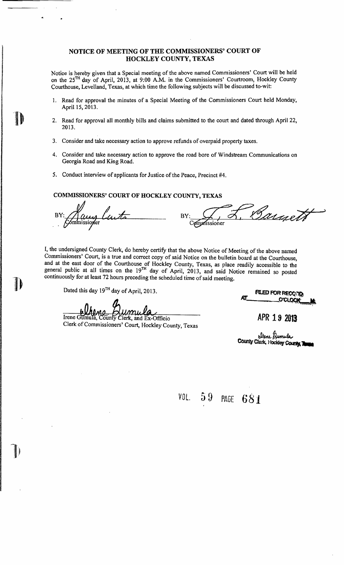## NOTICE OF MEETING OF THE COMMISSIONERS' COURT OF HOCKLEY COUNTY, TEXAS

Notice is hereby given that a Special meeting of the above named Commissioners' Court will be held on the 25TH day of April, 2013, at 9:00 A.M. in the Commissioners' Courtroom, Hockley County Courthouse, Levelland, Texas, at which time the following subjects will be discussed to-wit:

- 1. Read for approval the minutes of a Special Meeting of the Commissioners Court held Monday, April 15, 2013.
- 2. Read for approval all monthly bills and claims submitted to the court and dated through April 22, 2013.
- 3. Consider and take necessary action to approve refunds of overpaid property taxes.
- 4. Consider and take necessary action to approve the road bore of Windstream Communications on Georgia Road and King Road.
- 5. Conduct interview of applicants for Justice of the Peace, Precinct #4.

# COMMISSIONERS' COURT OF HOCKLEY COUNTY, TEXAS

y Luite BY: Grangett

I, the undersigned County Clerk, do hereby certify that the above Notice of Meeting of the above named Commissioners' Court, is a true and correct copy of said Notice on the bulletin board at the Courthouse, and at the east door of the Courthouse of Hockley County, Texas, as place readily accessible to the general public at all times on the 19<sup>TH</sup> day of April, 2013, and said Notice remained so posted continuously for at least 72 hours preceding the scheduled time of said meeting.

 $\mathbf{I}$ 

Irene Gumula, County Clierk, and Ex-Officio

Clerk of Commissioners' Court, Hockley County, Texas

Dated this day  $19^{TH}$  day of April, 2013.<br>All COLOGE

APR 19 2013

eltene Qumula<br>County Clerk, Hockley County, Tome

*VOL.* 59 PAGE 681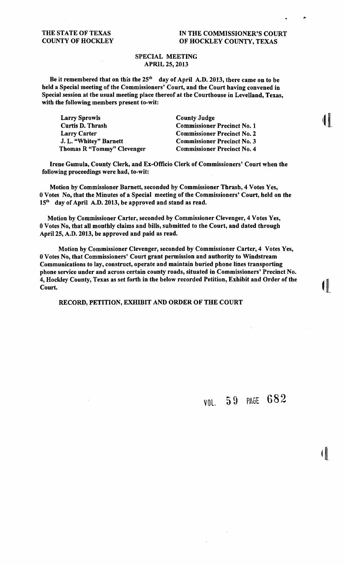# THE STATE OF TEXAS IN THE COMMISSIONER'S COURT<br>
COUNTY OF HOCKLEY OF HOCKLEY OF HOCKLEY COUNTY. TEXAS OF HOCKLEY COUNTY, TEXAS

## SPECIAL MEETING APRIL 25, 2013

Be it remembered that on this the  $25<sup>th</sup>$  day of April A.D. 2013, there came on to be beld a Special meeting of tbe Commissioners' Court, and tbe Court baving convened in Special session at tbe usual meeting place tbereof at tbe Courtbouse in Levelland, Texas, witb tbe following members present to-wit:

Larry Sprowls County Judge Curtis D. Thrash Commissioner Precinct No. 1 Larry Carter Commissioner Precinct No. 2 J. L. "Whitey" Barnett Commissioner Precinct No. 3 Thomas R "Tommy" Clevenger Commissioner Precinct No. 4

Irene Gumula, County Clerk, and Ex-Officio Clerk of Commissioners' Court when the following proceedings were had, to-wit:

Motion by Commissioner Barnett, seconded by Commissioner Tbrasb, 4 Votes Yes, 0 Votes No, that the Minutes of a Special meeting of the Commissioners' Court, held on the 15<sup>th</sup> day of April A.D. 2013, be approved and stand as read.

Motion by Commissioner Carter, seconded by Commissioner Clevenger, 4 Votes Yes, 0 Votes No, that all monthly claims and bills, submitted to the Court, and dated through April 25, A.D. 2013, be approved and paid as read.

Motion by Commissioner Clevenger, seconded by Commissioner Carter, 4 Votes Yes, O Votes No, that Commissioners' Court grant permission and authority to Windstream Communications to lay, construct, operate and maintain buried pbone lines transporting phone service under and across certain county roads, situated in Commissioners' Precinct No. 4, Hockley County, Texas as set forth in the below recorded Petition, Exhibit and Order of the  $\Box$ 

RECORD, PETITION, EXHIBIT AND ORDER OF THE COURT

VOl. 59 PAGE 682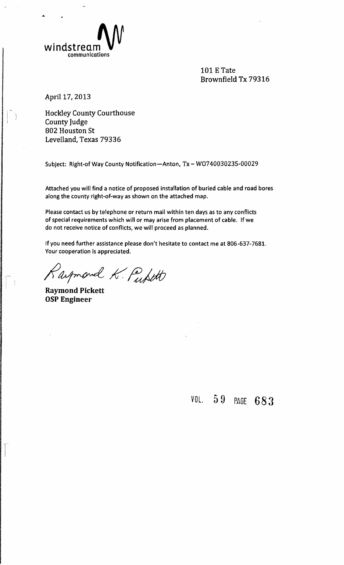

101 E Tate Brownfield Tx 79316

April 17, 2013

...

Hockley County Courthouse County Judge 802 Houston St Levelland, Texas 79336

Subject: Right-of Way County Notification-Anton, Tx - W0740030235-00029

Attached you will find a notice of proposed installation of buried cable and road bores along the county right-of-way as shown on the attached map.

Please contact us by telephone or return mail within ten days as to any conflicts of special requirements which will or may arise from placement of cable. If we do not receive notice of conflicts, we will proceed as planned.

If you need further assistance please don't hesitate to contact me at 806-637-7681. Your cooperation is appreciated.

Raymond K. Puptt

Raymond Pickett osp Engineer

VOL. 59 PAGE 683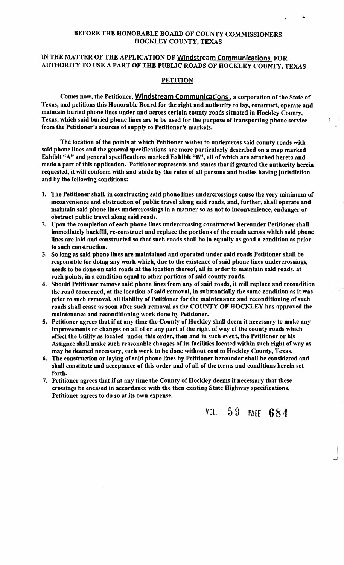# BEFORE THE HONORABLE BOARD OF COUNTY COMMISSIONERS HOCKLEY COUNTY, TEXAS

# IN THE MATTER OF THE APPLICATION OF Windstream Communications FOR AUTHORITY TO USE A PART OF THE PUBLIC ROADS OF HOCKLEY COUNTY, TEXAS

#### **PETITION**

Comes now, the Petitioner, Windstream Communications, a corporation of the State of Texas, and petitions this Honorable Board for the right and authority to lay, construct, operate and maintain buried phone lines under and across certain county roads situated in Hockley County, Texas, which said buried phone lines are to be used for the purpose of transporting phone service from the Petitioner's sources of supply to Petitioner's markets.

The location of the points at which Petitioner wishes to undercross said county roads with said phone lines and the general specifications are more particularly described on a map marked Exhibit "A" and general specifications marked Exhibit "B", all of which are attached hereto and made a part of this application. Petitioner represents and states that if granted the authority herein requested, it will conform with and abide by the rules of all persons and bodies having jurisdiction and by the following conditions:

- 1. The Petitioner shall, in constructing said phone lines undercrossings cause the very minimum of inconvenience and obstruction of public travel along said roads, and, further, shall operate and maintain said phone lines undercrossings in a manner so as not to inconvenience, endanger or obstruct public travel along said roads.
- 2. Upon the completion of each phone lines undercrossing constructed hereunder Petitioner shall immediately backftll, re-construct and replace the portions of the roads across which said phone lines are laid and constructed so that such roads shall be in equally as good a condition as prior to such construction.
- 3. So long as said phone lines are maintained and operated under said roads Petitioner shall be responsible for doing any work which, due to the existence of said phone lines undercrossings, needs to be done on said roads at the location thereof, all in order to maintain said roads, at such points, in a condition equal to other portions of said county roads.
- 4. Should Petitioner remove said phone lines from any of said roads, it will replace and recondition the road concerned, at the location of said removal, in substantially the same condition as it was prior to such removal, all liability of Petitioner for the maintenance and reconditioning of such roads shall cease as soon after such removal as the COUNTY OF HOCKLEY has approved the maintenance and reconditioning work done by Petitioner.
- 5. Petitioner agrees that if at any time the County of Hockley shall deem it necessary to make any improvements or changes on all of or any part of the right of way of the county roads which affect the Utility as located under this order, then and in such event, the Petitioner or his Assignee shall make such reasonable changes of its facilities located within such right of way as may be deemed necessary, such work to be done without cost to Hockley County, Texas.
- 6. The construction or laying of said phone lines by Petitioner hereunder shall be considered and shall constitute and acceptance of this order and of all of the terms and conditions herein set forth.
- 7. Petitioner agrees that if at any time the County of Hockley deems it necessary that these crossings be encased in accordance with the then existing State Highway specifications, Petitioner agrees to do so at its own expense.

VOL 5 9 PAGE 68 4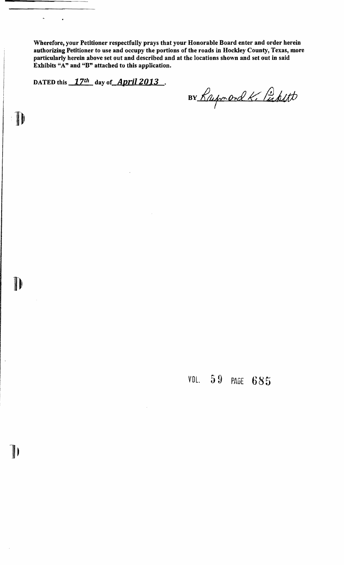Wherefore, your Petitioner respectfully prays that your Honorable Board enter and order herein authorizing Petitioner to use and occupy the portions of the roads in Hockley County, Texas, more particularly herein above set out and described and at the locations shown and set out in said Exhibits "A" and "B" attached to this application.

DATED this  $17th$  day of April 2013.

 $\ddot{\phantom{0}}$ 

 $\prod$ 

D

 $\blacksquare$ 

 $\bullet$ 

BY Raymond K. Pickett

VOL. 59 PAGE 685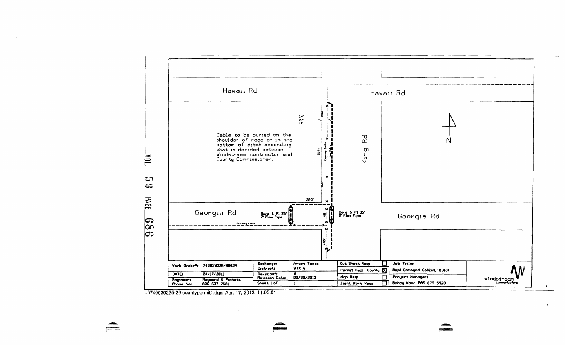

... 1740030235-29 countypermit1.dgn Apr. 17, 2013 11:05:01

 $\mathbf{h}$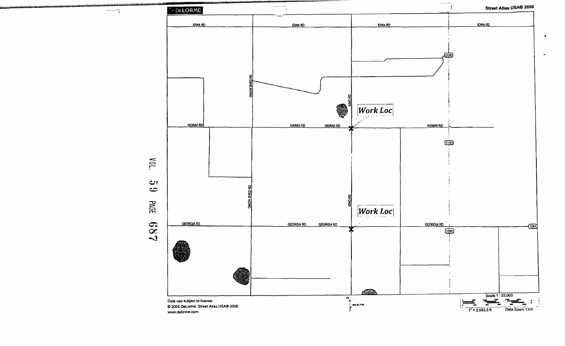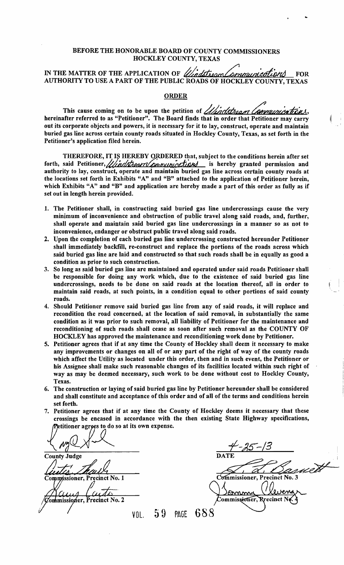## BEFORE THE HONORABLE BOARD OF COUNTY COMMISSIONERS HOCKLEY COUNTY, TEXAS

# IN THE MATTER OF THE APPLICATION OF *Ulindstroom Communications* FOR AUTHORITY TO USE A PART OF THE PUBLIC ROADS OF HOCKLEY COUNTY, TEXAS

## ORDER

This cause coming on to be upon the petition of *dimensional Communications*, hereinafter referred to as "Petitioner". The Board finds that in order that Petitioner may carry out its corporate objects and powers, it is necessary for it to lay, construct, operate and maintain buried gas line across certain county roads situated in Hockley County, Texas, as set forth in the Petitioner's application filed herein.

THEREFORE, IT IS HEREBY ORDERED that, subject to the conditions herein after set forth, said Petitioner, ///indstream/continuity cortions is hereby granted permission and authority to lay, construct, operate and maintain buried gas line across certain county roads at the locations set forth in Exhibits "A" and "B" attached to the application of Petitioner herein, which Exhibits "A" and "B" and application are hereby made a part of this order as fully as if set out in length herein provided.

- 1. The Petitioner shall, in constructing said buried gas line undercrossings cause the very minimum of inconvenience and obstruction of public travel along said roads, and, further, shall operate and maintain said buried gas line undercrossings in a manner so as not to inconvenience, endanger or obstruct public travel along said roads.
- 2. Upon the completion of each buried gas line undercrossing constructed hereunder Petitioner shall immediately backfill, re-construct and replace the portions of the roads across which said buried gas line are laid and constructed so that such roads shall be in equally as good a condition as prior to such construction.
- 3. So long as said buried gas line are maintained and operated under said roads Petitioner shall be responsible for doing any work which, due to the existence of said buried gas line undercrossings, needs to be done on said roads at the location thereof, all in order to maintain said roads, at such points, in a condition equal to other portions of said county roads.
- 4. Should Petitioner remove said buried gas line from any of said roads, it will replace and recondition the road concerned, at the location of said removal, in substantially the same condition as it was prior to such removal, all liability of Petitioner for the maintenance and reconditioning of such roads shall cease as soon after such removal as the COUNTY OF HOCKLEY has approved the maintenance and reconditioning work done by Petitioner.
- 5. Petitioner agrees that if at any time the County of Hockley shall deem it necessary to make any improvements or changes on all of or any part of the right of way of the county roads which affect the Utility as located under this order, then and in such event, the Petitioner or his Assignee shall make such reasonable changes of its facilities located within such right of way as may be deemed necessary, such work to be done without cost to Hockley County, Texas.
- 6. The construction or laying of said buried gas line by Petitioner hereunder shall be considered and shall constitute and acceptance of this order and of all of the terms and conditions herein set forth.
- 7. Petitioner agrees that if at any time the County of Hockley deems it necessary that these crossings be encased in accordance with the then existing State Highway specifications, etitioner agrees to do so at its own expense.

 $\sqrt{M}$  -13 County Judge **DATE** Zommissioner, Precinct No. 2 VOL 59 PAGE

 $\frac{4-35-13}{\frac{60}{25}}$ <br>County Judge<br>Commissioner, Precinct No. 1 i Commissioner, Rrecinct Ne 688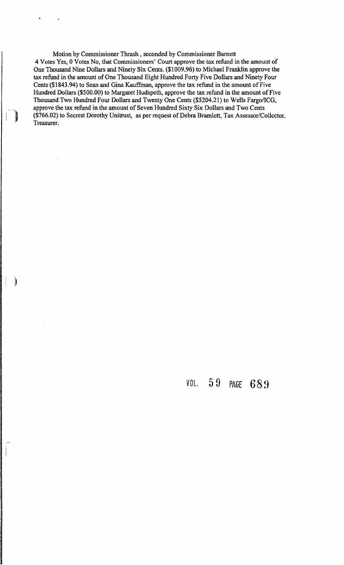Motion by Commissioner Thrash, seconded by Commissioner Barnett 4 Votes Yes, 0 Votes No, that Commissioners' Court approve the tax refund in the amount of One Thousand Nine Dollars and Ninety Six Cents. (\$1009.96) to Michael Franklin approve the tax refund in the amount of One Thousand Eight Hundred Forty Five Dollars and Ninety Four Cents (\$1843.94) to Sean and Gina Kauffinan, approve the tax refund in the amount of Five Hundred Dollars (\$500.00) to Margaret Hudspeth, approve the tax refund in the amount of Five Thousand Two Hundred Four Dollars and Twenty One Cents (\$5204.21) to Wells FargofICG. approve the tax refund in the amount of Seven Hundred Sixty Six Dollars and Two Cents (\$766.02) to Secrest Dorothy Unitrust, as per request of Debra Bramlett, Tax Assessor/Collector. Treasurer.

)

*VOL.* 59 PAGE **68!}**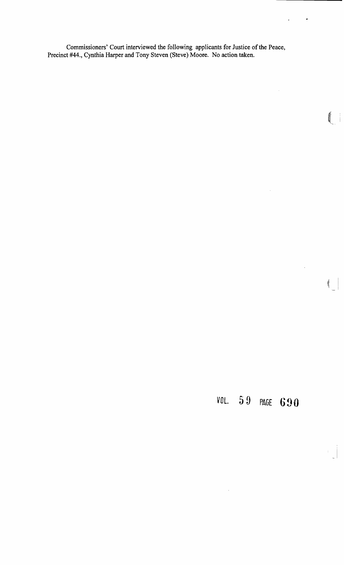Commissioners' Court interviewed the following applicants for Justice of the Peace, Precinct #44., Cynthia Harper and Tony Steven (Steve) Moore. No action taken.

*VOL.* 5**9 PAGE 690** 

 $\hat{\mathcal{A}}$ 

 $\bullet$ 

 $\mathcal{A}^{\text{out}}$ 

 $\left( \begin{array}{c} \end{array} \right)$ 

 $(\hspace{.1cm} \cdot \hspace{.1cm}$ 

 $\hat{\mathbf{z}}$ 

 $\hat{\mathcal{A}}$ 

 $\mathcal{A}^{\mathcal{A}}$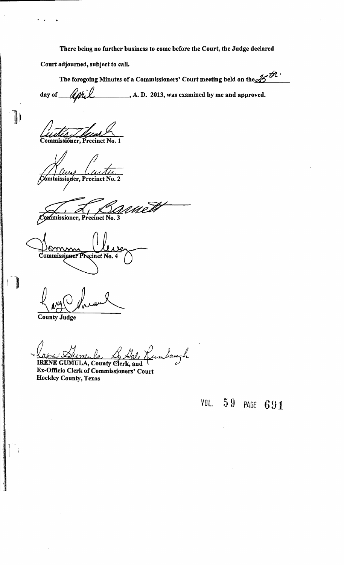There being no further business to come before the Court, the Judge declared

Court adjourned, subject to call.

The foregoing Minutes of a Commissioners' Court meeting held on the  $\not{\mathscr{Z}}^{\prime\prime}$ day of  $\mathcal{U}$ til  $\mathcal{U}$  A. D. 2013, was examined by me and approved. The foregoing Minutes of a Commissioners' Court day of April 4.1. A.D. 2013, was exampled as a commissioner, Precinct No. 1

l'

Commissioner, Precinct No. 2

met. ommissioner, Precinct No. 3

Omm Commissioner Precinct No. 4

 $4.440$  darrent

County Judge

<u>(henc) Aim, le G, Mal, K</u>umbaugh

Ex-Officio Clerk of Commissioners' Court Hockley County, Texas

*VOL.* PAGE 691